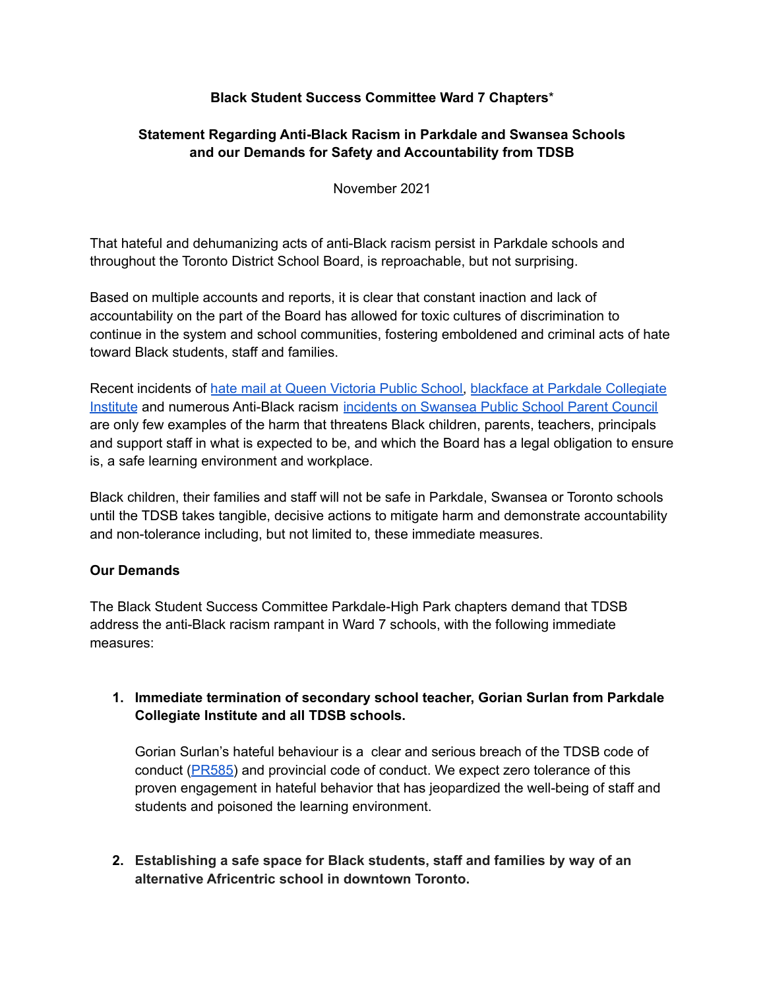## **Black Student Success Committee Ward 7 Chapters**\*

## **Statement Regarding Anti-Black Racism in Parkdale and Swansea Schools and our Demands for Safety and Accountability from TDSB**

November 2021

That hateful and dehumanizing acts of anti-Black racism persist in Parkdale schools and throughout the Toronto District School Board, is reproachable, but not surprising.

Based on multiple accounts and reports, it is clear that constant inaction and lack of accountability on the part of the Board has allowed for toxic cultures of discrimination to continue in the system and school communities, fostering emboldened and criminal acts of hate toward Black students, staff and families.

Recent incidents of hate mail at Queen Victoria Public School, blackface at Parkdale Collegiate Institute and numerous Anti-Black racism incidents on Swansea Public School Parent Council are only few examples of the harm that threatens Black children, parents, teachers, principals and support staff in what is expected to be, and which the Board has a legal obligation to ensure is, a safe learning environment and workplace.

Black children, their families and staff will not be safe in Parkdale, Swansea or Toronto schools until the TDSB takes tangible, decisive actions to mitigate harm and demonstrate accountability and non-tolerance including, but not limited to, these immediate measures.

### **Our Demands**

The Black Student Success Committee Parkdale-High Park chapters demand that TDSB address the anti-Black racism rampant in Ward 7 schools, with the following immediate measures:

**1. Immediate termination of secondary school teacher, Gorian Surlan from Parkdale Collegiate Institute and all TDSB schools.**

Gorian Surlan's hateful behaviour is a clear and serious breach of the TDSB code of conduct (PR585) and provincial code of conduct. We expect zero tolerance of this proven engagement in hateful behavior that has jeopardized the well-being of staff and students and poisoned the learning environment.

**2. Establishing a safe space for Black students, staff and families by way of an alternative Africentric school in downtown Toronto.**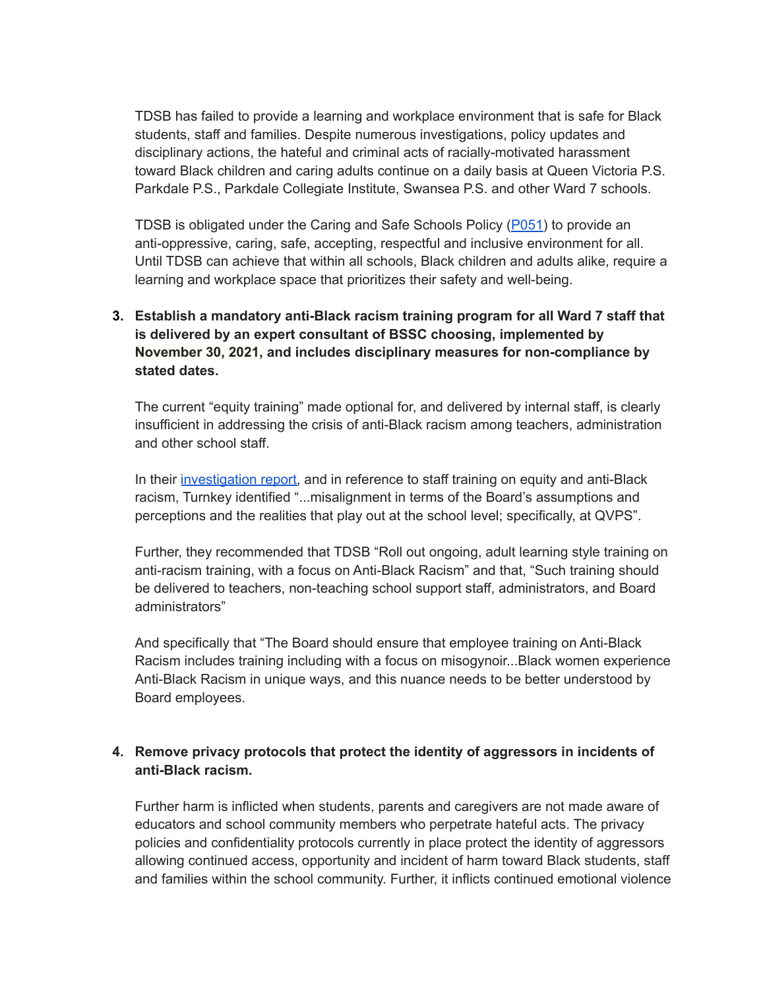TDSB has failed to provide a learning and workplace environment that is safe for Black students, staff and families. Despite numerous investigations, policy updates and disciplinary actions, the hateful and criminal acts of racially-motivated harassment toward Black children and caring adults continue on a daily basis at Queen Victoria P.S. Parkdale P.S., Parkdale Collegiate Institute, Swansea P.S. and other Ward 7 schools.

TDSB is obligated under the Caring and Safe Schools Policy (P051) to provide an anti-oppressive, caring, safe, accepting, respectful and inclusive environment for all. Until TDSB can achieve that within all schools, Black children and adults alike, require a learning and workplace space that prioritizes their safety and well-being.

# **3. Establish a mandatory anti-Black racism training program for all Ward 7 staff that is delivered by an expert consultant of BSSC choosing, implemented by November 30, 2021, and includes disciplinary measures for non-compliance by stated dates.**

The current "equity training" made optional for, and delivered by internal staff, is clearly insufficient in addressing the crisis of anti-Black racism among teachers, administration and other school staff.

In their investigation report, and in reference to staff training on equity and anti-Black racism, Turnkey identified "...misalignment in terms of the Board's assumptions and perceptions and the realities that play out at the school level; specifically, at QVPS".

Further, they recommended that TDSB "Roll out ongoing, adult learning style training on anti-racism training, with a focus on Anti-Black Racism" and that, "Such training should be delivered to teachers, non-teaching school support staff, administrators, and Board administrators"

And specifically that "The Board should ensure that employee training on Anti-Black Racism includes training including with a focus on misogynoir...Black women experience Anti-Black Racism in unique ways, and this nuance needs to be better understood by Board employees.

## **4. Remove privacy protocols that protect the identity of aggressors in incidents of anti-Black racism.**

Further harm is inflicted when students, parents and caregivers are not made aware of educators and school community members who perpetrate hateful acts. The privacy policies and confidentiality protocols currently in place protect the identity of aggressors allowing continued access, opportunity and incident of harm toward Black students, staff and families within the school community. Further, it inflicts continued emotional violence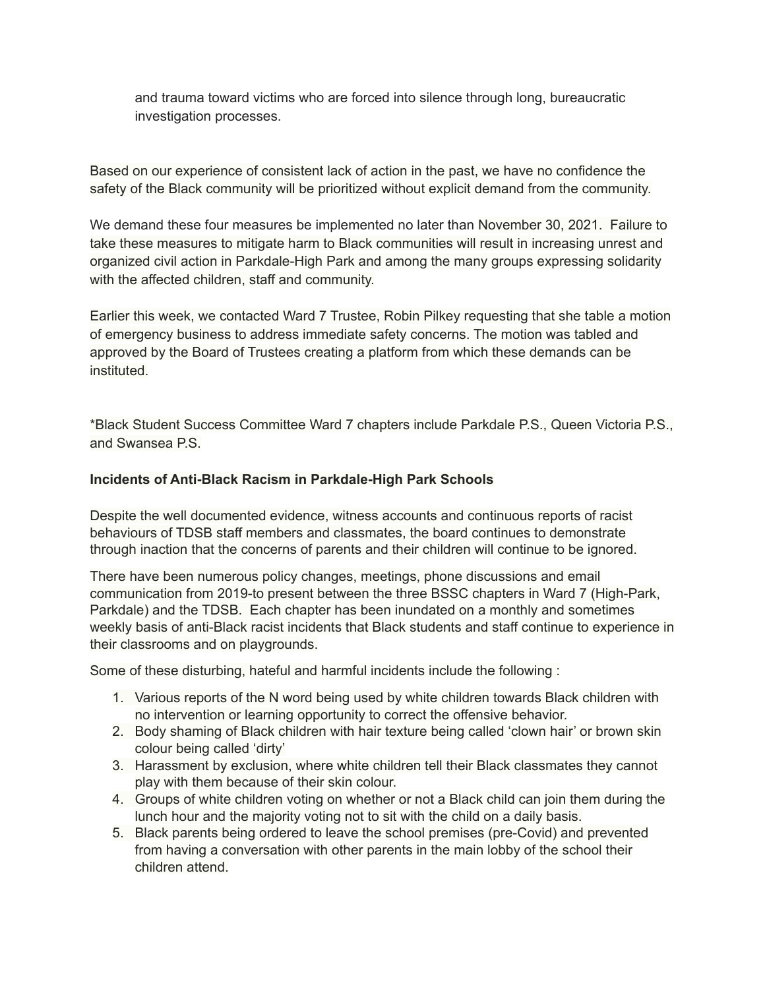and trauma toward victims who are forced into silence through long, bureaucratic investigation processes.

Based on our experience of consistent lack of action in the past, we have no confidence the safety of the Black community will be prioritized without explicit demand from the community.

We demand these four measures be implemented no later than November 30, 2021. Failure to take these measures to mitigate harm to Black communities will result in increasing unrest and organized civil action in Parkdale-High Park and among the many groups expressing solidarity with the affected children, staff and community.

Earlier this week, we contacted Ward 7 Trustee, Robin Pilkey requesting that she table a motion of emergency business to address immediate safety concerns. The motion was tabled and approved by the Board of Trustees creating a platform from which these demands can be instituted.

\*Black Student Success Committee Ward 7 chapters include Parkdale P.S., Queen Victoria P.S., and Swansea P.S.

### **Incidents of Anti-Black Racism in Parkdale-High Park Schools**

Despite the well documented evidence, witness accounts and continuous reports of racist behaviours of TDSB staff members and classmates, the board continues to demonstrate through inaction that the concerns of parents and their children will continue to be ignored.

There have been numerous policy changes, meetings, phone discussions and email communication from 2019-to present between the three BSSC chapters in Ward 7 (High-Park, Parkdale) and the TDSB. Each chapter has been inundated on a monthly and sometimes weekly basis of anti-Black racist incidents that Black students and staff continue to experience in their classrooms and on playgrounds.

Some of these disturbing, hateful and harmful incidents include the following :

- 1. Various reports of the N word being used by white children towards Black children with no intervention or learning opportunity to correct the offensive behavior.
- 2. Body shaming of Black children with hair texture being called 'clown hair' or brown skin colour being called 'dirty'
- 3. Harassment by exclusion, where white children tell their Black classmates they cannot play with them because of their skin colour.
- 4. Groups of white children voting on whether or not a Black child can join them during the lunch hour and the majority voting not to sit with the child on a daily basis.
- 5. Black parents being ordered to leave the school premises (pre-Covid) and prevented from having a conversation with other parents in the main lobby of the school their children attend.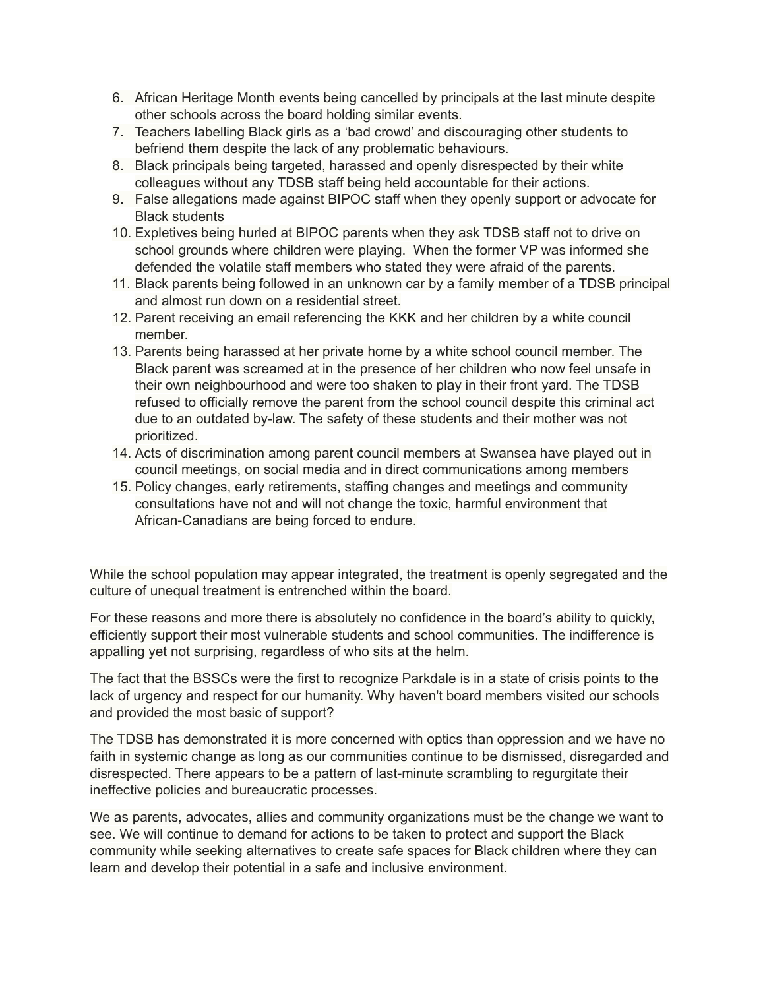- 6. African Heritage Month events being cancelled by principals at the last minute despite other schools across the board holding similar events.
- 7. Teachers labelling Black girls as a 'bad crowd' and discouraging other students to befriend them despite the lack of any problematic behaviours.
- 8. Black principals being targeted, harassed and openly disrespected by their white colleagues without any TDSB staff being held accountable for their actions.
- 9. False allegations made against BIPOC staff when they openly support or advocate for Black students
- 10. Expletives being hurled at BIPOC parents when they ask TDSB staff not to drive on school grounds where children were playing. When the former VP was informed she defended the volatile staff members who stated they were afraid of the parents.
- 11. Black parents being followed in an unknown car by a family member of a TDSB principal and almost run down on a residential street.
- 12. Parent receiving an email referencing the KKK and her children by a white council member.
- 13. Parents being harassed at her private home by a white school council member. The Black parent was screamed at in the presence of her children who now feel unsafe in their own neighbourhood and were too shaken to play in their front yard. The TDSB refused to officially remove the parent from the school council despite this criminal act due to an outdated by-law. The safety of these students and their mother was not prioritized.
- 14. Acts of discrimination among parent council members at Swansea have played out in council meetings, on social media and in direct communications among members
- 15. Policy changes, early retirements, staffing changes and meetings and community consultations have not and will not change the toxic, harmful environment that African-Canadians are being forced to endure.

While the school population may appear integrated, the treatment is openly segregated and the culture of unequal treatment is entrenched within the board.

For these reasons and more there is absolutely no confidence in the board's ability to quickly, efficiently support their most vulnerable students and school communities. The indifference is appalling yet not surprising, regardless of who sits at the helm.

The fact that the BSSCs were the first to recognize Parkdale is in a state of crisis points to the lack of urgency and respect for our humanity. Why haven't board members visited our schools and provided the most basic of support?

The TDSB has demonstrated it is more concerned with optics than oppression and we have no faith in systemic change as long as our communities continue to be dismissed, disregarded and disrespected. There appears to be a pattern of last-minute scrambling to regurgitate their ineffective policies and bureaucratic processes.

We as parents, advocates, allies and community organizations must be the change we want to see. We will continue to demand for actions to be taken to protect and support the Black community while seeking alternatives to create safe spaces for Black children where they can learn and develop their potential in a safe and inclusive environment.